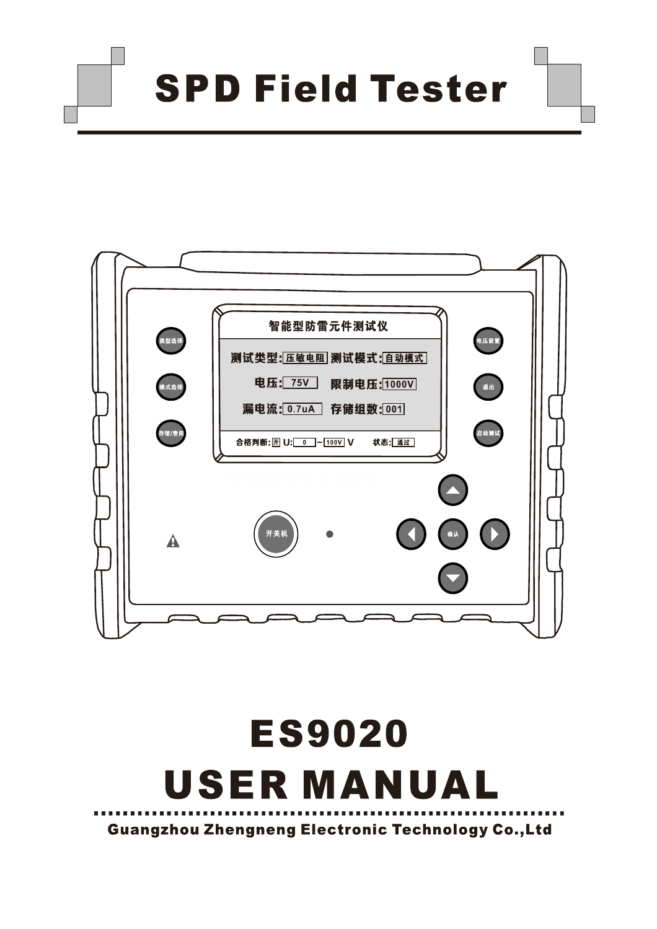**SPD Field Tester** 



# **ES9020 USER MANUAL Guangzhou Zhengneng Electronic Technology Co., Ltd**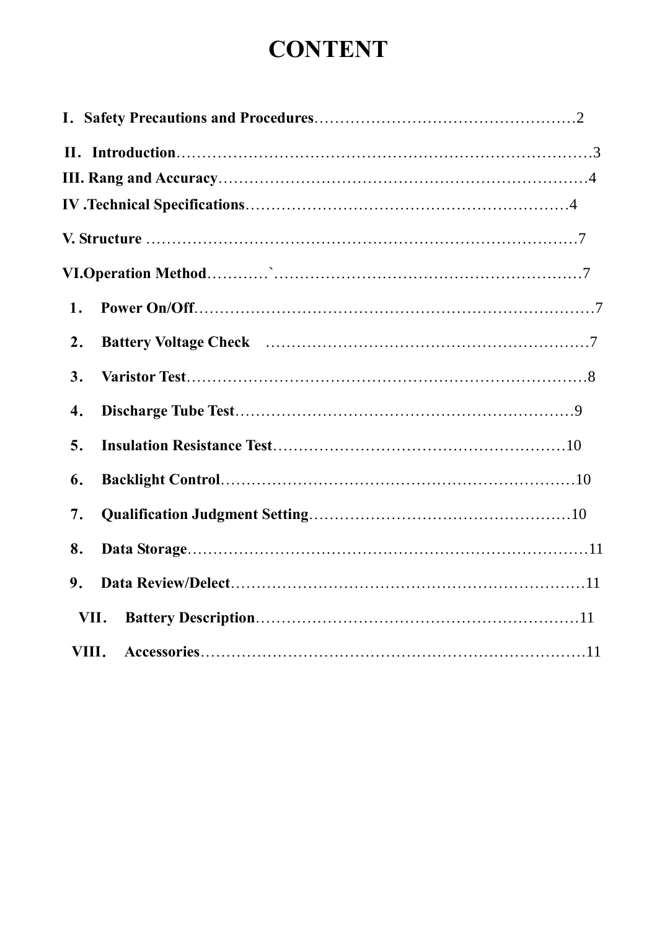# **CONTENT**

| 1.   |
|------|
| 2.   |
| 3.   |
| 4.   |
| 5.   |
| 6.   |
| 7.   |
| 8.   |
| 9.   |
| VII. |
|      |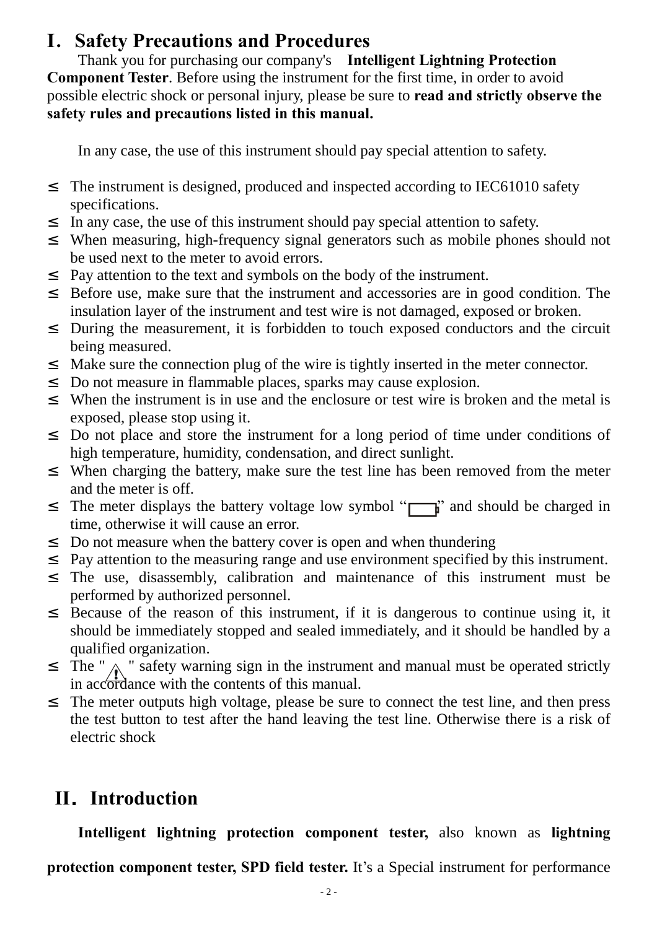## **I.Safety Precautions and Procedures**

Thank you for purchasing our company's **Intelligent Lightning Protection Component Tester**. Before using the instrument for the first time, in order to avoid possible electric shock or personal injury, please be sure to **read and strictly observe the safety rules and precautions listed in this manual.** 

In any case, the use of this instrument should pay special attention to safety.

- <sup>2</sup> The instrument is designed, produced and inspected according to IEC61010 safety specifications.
- <sup>2</sup> In any case, the use of this instrument should pay special attention to safety.
- <sup>2</sup> When measuring, high-frequency signal generators such as mobile phones should not be used next to the meter to avoid errors.
- ² Pay attention to the text and symbols on the body of the instrument.
- <sup>2</sup> Before use, make sure that the instrument and accessories are in good condition. The insulation layer of the instrument and test wire is not damaged, exposed or broken.
- <sup>2</sup> During the measurement, it is forbidden to touch exposed conductors and the circuit being measured.
- <sup>2</sup> Make sure the connection plug of the wire is tightly inserted in the meter connector.
- ² Do not measure in flammable places, sparks may cause explosion.
- <sup>2</sup> When the instrument is in use and the enclosure or test wire is broken and the metal is exposed, please stop using it.
- <sup>2</sup> Do not place and store the instrument for a long period of time under conditions of high temperature, humidity, condensation, and direct sunlight.
- <sup>2</sup> When charging the battery, make sure the test line has been removed from the meter and the meter is off.
- <sup>2</sup> The meter displays the battery voltage low symbol " $\Box$ " and should be charged in time, otherwise it will cause an error.
- <sup>2</sup> Do not measure when the battery cover is open and when thundering
- <sup>2</sup> Pay attention to the measuring range and use environment specified by this instrument.
- ² The use, disassembly, calibration and maintenance of this instrument must be performed by authorized personnel.
- <sup>2</sup> Because of the reason of this instrument, if it is dangerous to continue using it, it should be immediately stopped and sealed immediately, and it should be handled by a qualified organization.
- <sup>2</sup> The "  $\land$  " safety warning sign in the instrument and manual must be operated strictly in accordance with the contents of this manual.
- <sup>2</sup> The meter outputs high voltage, please be sure to connect the test line, and then press the test button to test after the hand leaving the test line. Otherwise there is a risk of electric shock

# **II.Introduction**

**Intelligent lightning protection component tester,** also known as **lightning** 

**protection component tester, SPD field tester.** It's a Special instrument for performance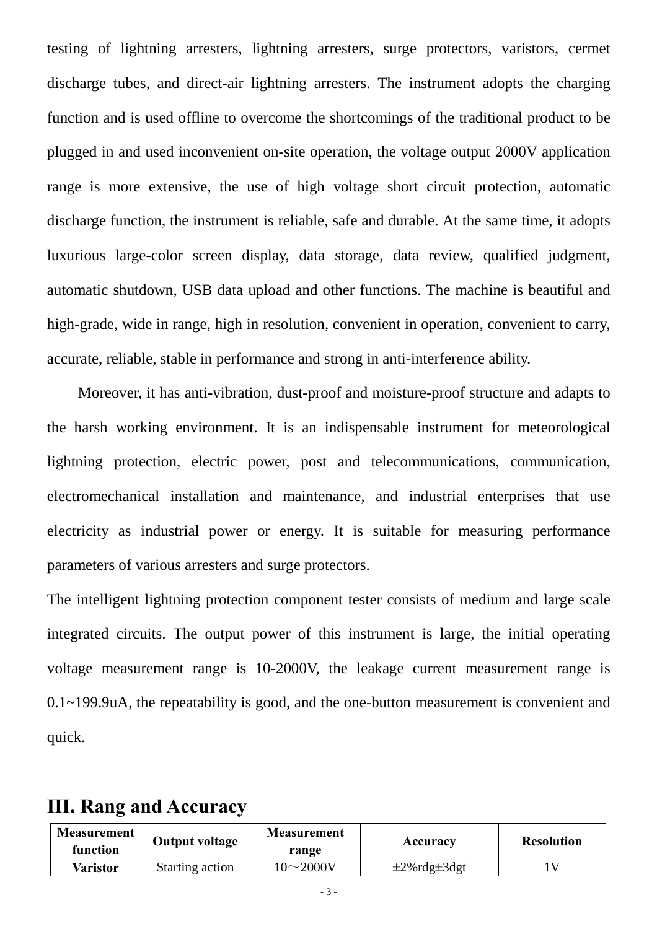testing of lightning arresters, lightning arresters, surge protectors, varistors, cermet discharge tubes, and direct-air lightning arresters. The instrument adopts the charging function and is used offline to overcome the shortcomings of the traditional product to be plugged in and used inconvenient on-site operation, the voltage output 2000V application range is more extensive, the use of high voltage short circuit protection, automatic discharge function, the instrument is reliable, safe and durable. At the same time, it adopts luxurious large-color screen display, data storage, data review, qualified judgment, automatic shutdown, USB data upload and other functions. The machine is beautiful and high-grade, wide in range, high in resolution, convenient in operation, convenient to carry, accurate, reliable, stable in performance and strong in anti-interference ability.

Moreover, it has anti-vibration, dust-proof and moisture-proof structure and adapts to the harsh working environment. It is an indispensable instrument for meteorological lightning protection, electric power, post and telecommunications, communication, electromechanical installation and maintenance, and industrial enterprises that use electricity as industrial power or energy. It is suitable for measuring performance parameters of various arresters and surge protectors.

The intelligent lightning protection component tester consists of medium and large scale integrated circuits. The output power of this instrument is large, the initial operating voltage measurement range is 10-2000V, the leakage current measurement range is 0.1~199.9uA, the repeatability is good, and the one-button measurement is convenient and quick.

### **III. Rang and Accuracy**

| <b>Measurement</b><br>function | Output voltage  | <b>Measurement</b><br>range | Accuracy                  | <b>Resolution</b> |
|--------------------------------|-----------------|-----------------------------|---------------------------|-------------------|
| Varistor                       | Starting action | 10 $\sim$ 2000V             | $\pm 2\%$ rdg $\pm 3$ dgt |                   |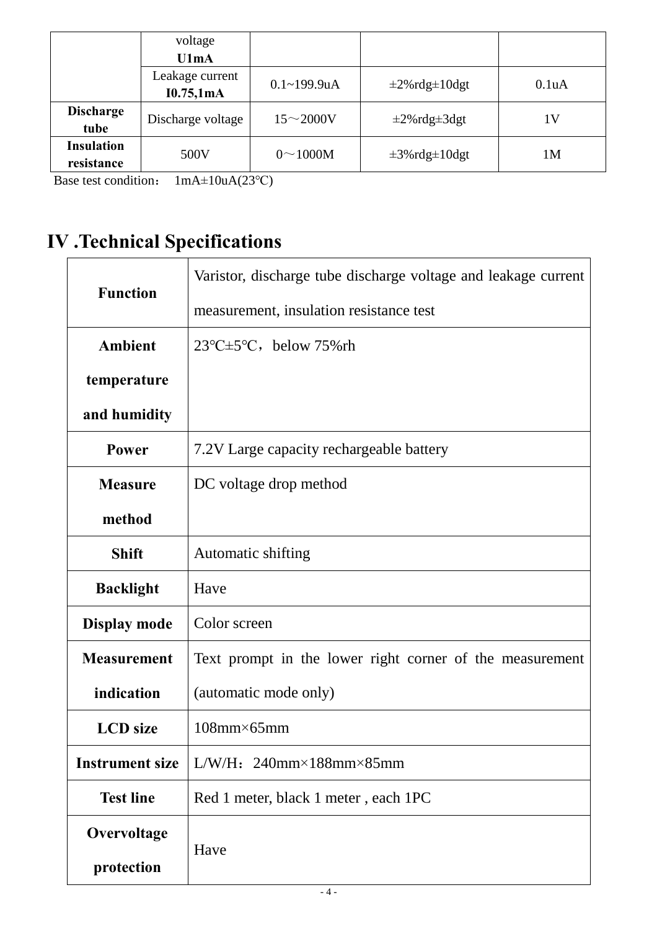|                                 | voltage<br>U1mA              |                  |                            |                    |
|---------------------------------|------------------------------|------------------|----------------------------|--------------------|
|                                 | Leakage current<br>I0.75,1mA | $0.1 - 199.9$ uA | $\pm 2\%$ rdg $\pm 10$ dgt | 0.1 <sub>u</sub> A |
| <b>Discharge</b><br>tube        | Discharge voltage            | $15 - 2000V$     | $\pm 2\%$ rdg $\pm 3$ dgt  | 1V                 |
| <b>Insulation</b><br>resistance | 500V                         | $0 \sim 1000M$   | $\pm 3\%$ rdg $\pm 10$ dgt | 1M                 |

Base test condition: 1mA±10uA(23℃)

# **IV .Technical Specifications**

| <b>Function</b>        | Varistor, discharge tube discharge voltage and leakage current |  |
|------------------------|----------------------------------------------------------------|--|
|                        | measurement, insulation resistance test                        |  |
| <b>Ambient</b>         | $23^{\circ}C \pm 5^{\circ}C$ , below 75% rh                    |  |
| temperature            |                                                                |  |
| and humidity           |                                                                |  |
| <b>Power</b>           | 7.2V Large capacity rechargeable battery                       |  |
| <b>Measure</b>         | DC voltage drop method                                         |  |
| method                 |                                                                |  |
| <b>Shift</b>           | Automatic shifting                                             |  |
| <b>Backlight</b>       | Have                                                           |  |
| Display mode           | Color screen                                                   |  |
| <b>Measurement</b>     | Text prompt in the lower right corner of the measurement       |  |
| indication             | (automatic mode only)                                          |  |
| <b>LCD</b> size        | $108$ mm×65mm                                                  |  |
| <b>Instrument size</b> | L/W/H: $240$ mm×188mm×85mm                                     |  |
| <b>Test line</b>       | Red 1 meter, black 1 meter, each 1PC                           |  |
| Overvoltage            | Have                                                           |  |
| protection             |                                                                |  |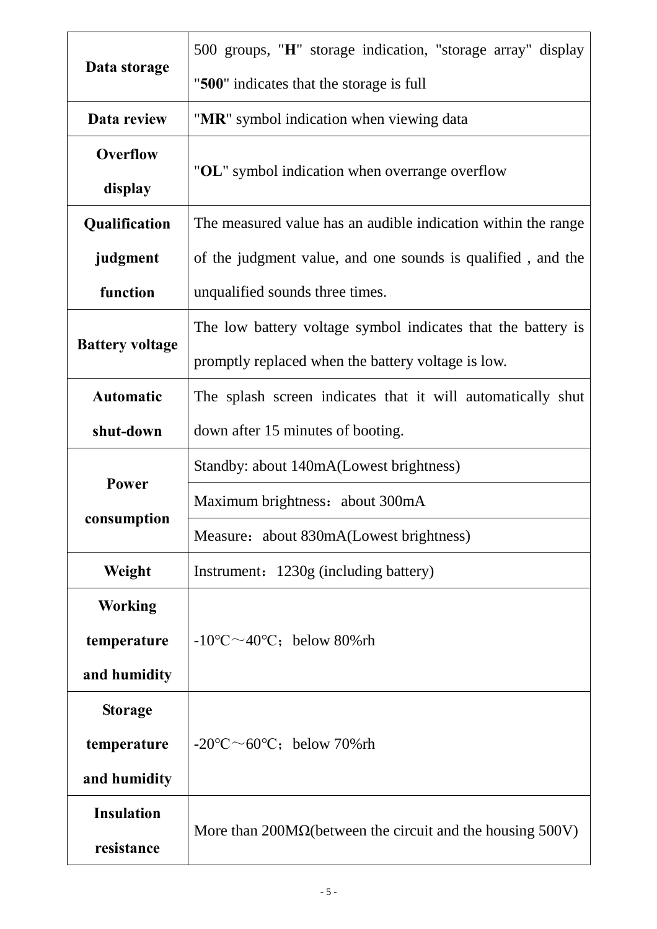|                        | 500 groups, "H" storage indication, "storage array" display       |  |  |
|------------------------|-------------------------------------------------------------------|--|--|
| Data storage           | "500" indicates that the storage is full                          |  |  |
| Data review            | "MR" symbol indication when viewing data                          |  |  |
| <b>Overflow</b>        |                                                                   |  |  |
| display                | "OL" symbol indication when overrange overflow                    |  |  |
| Qualification          | The measured value has an audible indication within the range     |  |  |
| judgment               | of the judgment value, and one sounds is qualified, and the       |  |  |
| function               | unqualified sounds three times.                                   |  |  |
|                        | The low battery voltage symbol indicates that the battery is      |  |  |
| <b>Battery voltage</b> | promptly replaced when the battery voltage is low.                |  |  |
| <b>Automatic</b>       | The splash screen indicates that it will automatically shut       |  |  |
| shut-down              | down after 15 minutes of booting.                                 |  |  |
|                        | Standby: about 140mA(Lowest brightness)                           |  |  |
| Power                  | Maximum brightness: about 300mA                                   |  |  |
| consumption            | Measure: about 830mA(Lowest brightness)                           |  |  |
| Weight                 | Instrument: 1230g (including battery)                             |  |  |
| <b>Working</b>         |                                                                   |  |  |
| temperature            | $-10^{\circ}$ C $\sim$ 40°C; below 80% rh                         |  |  |
| and humidity           |                                                                   |  |  |
| <b>Storage</b>         |                                                                   |  |  |
| temperature            | $-20^{\circ}$ C $\sim$ 60°C; below 70% rh                         |  |  |
| and humidity           |                                                                   |  |  |
| <b>Insulation</b>      |                                                                   |  |  |
| resistance             | More than $200M\Omega$ (between the circuit and the housing 500V) |  |  |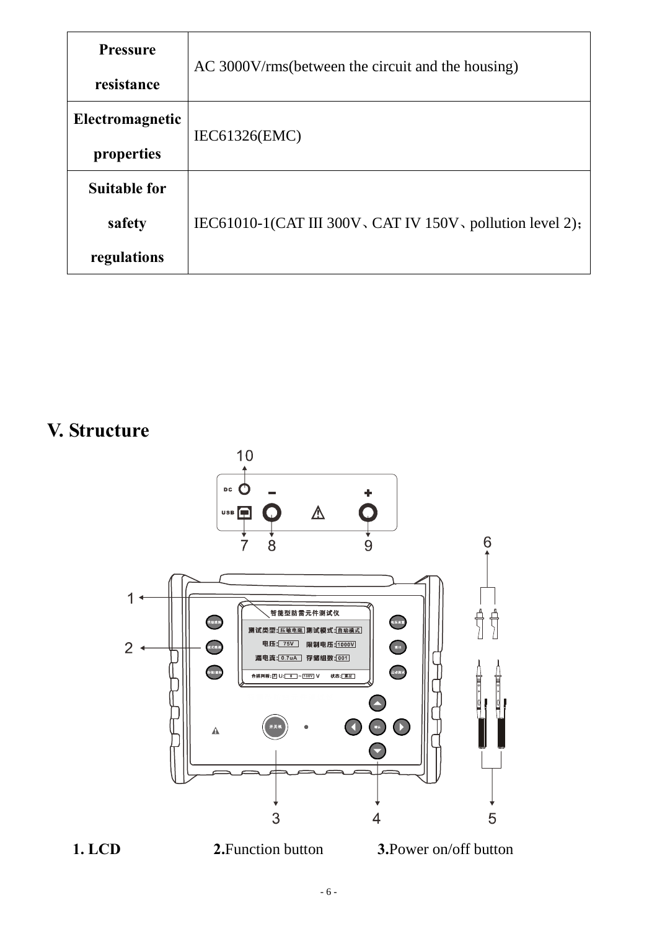| <b>Pressure</b>     | AC 3000V/rms (between the circuit and the housing)        |  |  |
|---------------------|-----------------------------------------------------------|--|--|
| resistance          |                                                           |  |  |
| Electromagnetic     | IEC61326(EMC)                                             |  |  |
| properties          |                                                           |  |  |
| <b>Suitable for</b> |                                                           |  |  |
| safety              | IEC61010-1(CAT III 300V, CAT IV 150V, pollution level 2); |  |  |
| regulations         |                                                           |  |  |

# **V. Structure**



**1. LCD** 2. Function button **3.** Power on/off button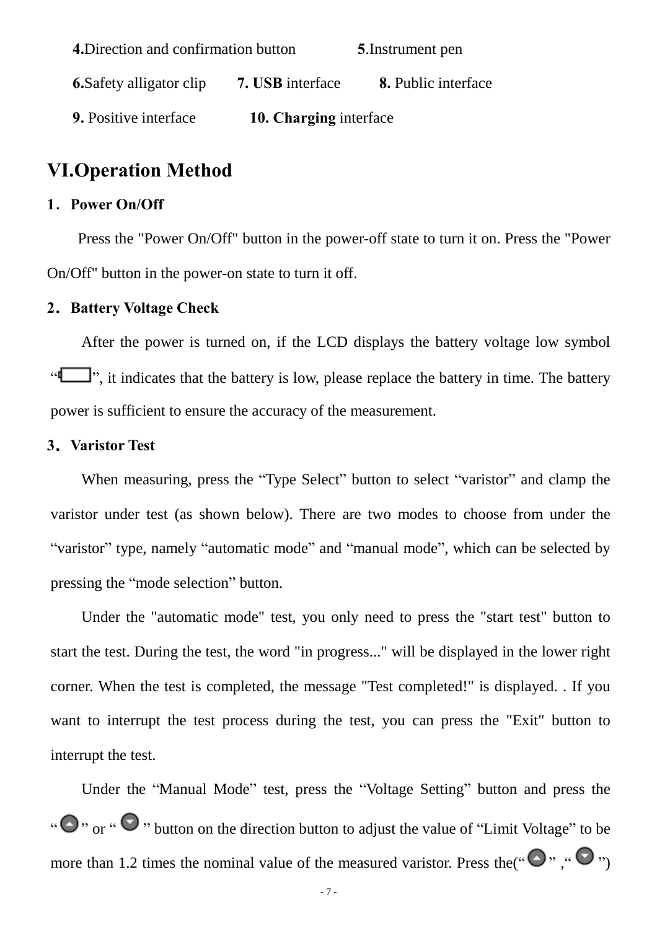| 4. Direction and confirmation button |                        | <b>5.</b> Instrument pen   |
|--------------------------------------|------------------------|----------------------------|
| <b>6.</b> Safety alligator clip      | 7. USB interface       | <b>8.</b> Public interface |
| 9. Positive interface                | 10. Charging interface |                            |

### **VI.Operation Method**

#### **1**.**Power On/Off**

Press the "Power On/Off" button in the power-off state to turn it on. Press the "Power On/Off" button in the power-on state to turn it off.

#### **2.Battery Voltage Check**

After the power is turned on, if the LCD displays the battery voltage low symbol ". it indicates that the battery is low, please replace the battery in time. The battery power is sufficient to ensure the accuracy of the measurement.

#### **3.Varistor Test**

When measuring, press the "Type Select" button to select "varistor" and clamp the varistor under test (as shown below). There are two modes to choose from under the "varistor" type, namely "automatic mode" and "manual mode", which can be selected by pressing the "mode selection" button.

Under the "automatic mode" test, you only need to press the "start test" button to start the test. During the test, the word "in progress..." will be displayed in the lower right corner. When the test is completed, the message "Test completed!" is displayed. . If you want to interrupt the test process during the test, you can press the "Exit" button to interrupt the test.

Under the "Manual Mode" test, press the "Voltage Setting" button and press the " $\bigcirc$ " or " $\bigcirc$ " button on the direction button to adjust the value of "Limit Voltage" to be more than 1.2 times the nominal value of the measured varistor. Press the  $(\mathcal{O}, \mathcal{O}, \mathcal{O})$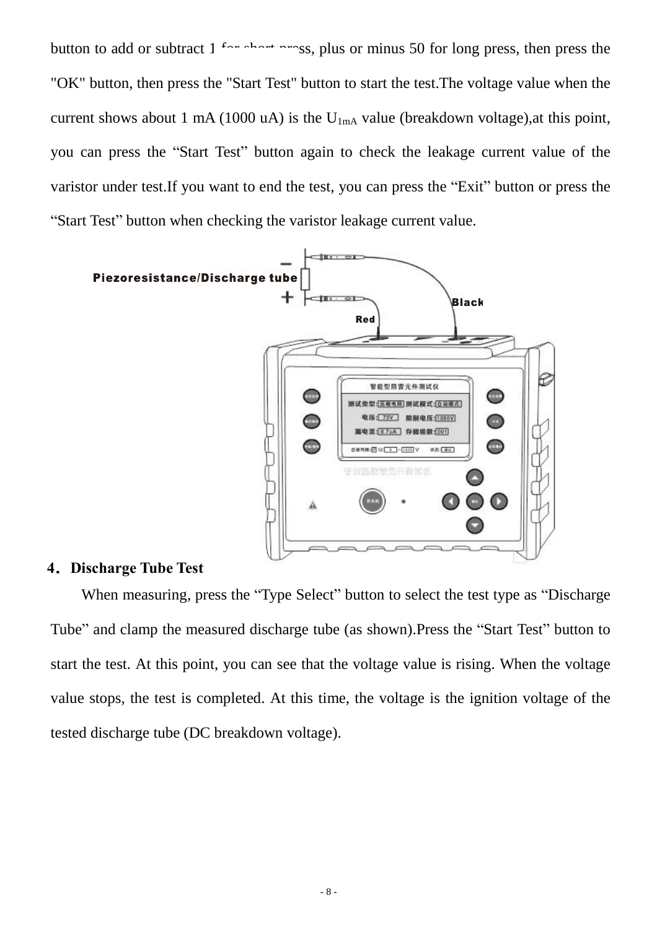button to add or subtract  $1 - 1$  for short press, plus or minus 50 for long press, then press the "OK" button, then press the "Start Test" button to start the test.The voltage value when the current shows about 1 mA (1000 uA) is the  $U_{1mA}$  value (breakdown voltage), at this point, you can press the "Start Test" button again to check the leakage current value of the varistor under test.If you want to end the test, you can press the "Exit" button or press the "Start Test" button when checking the varistor leakage current value.



#### **4.Discharge Tube Test**

When measuring, press the "Type Select" button to select the test type as "Discharge Tube" and clamp the measured discharge tube (as shown).Press the "Start Test" button to start the test. At this point, you can see that the voltage value is rising. When the voltage value stops, the test is completed. At this time, the voltage is the ignition voltage of the tested discharge tube (DC breakdown voltage).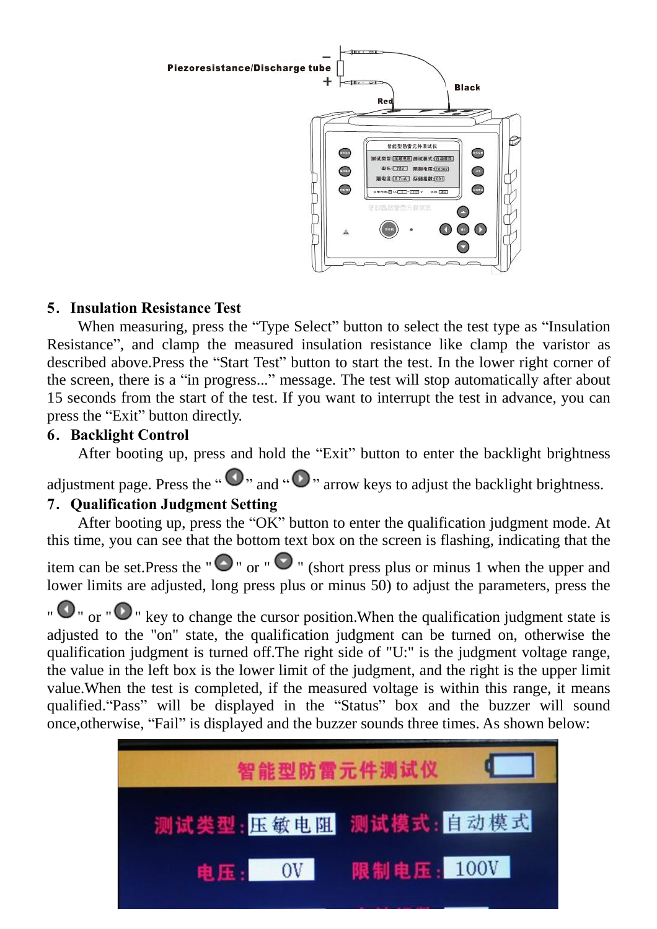

### **5**.**Insulation Resistance Test**

When measuring, press the "Type Select" button to select the test type as "Insulation Resistance", and clamp the measured insulation resistance like clamp the varistor as described above.Press the "Start Test" button to start the test. In the lower right corner of the screen, there is a "in progress..." message. The test will stop automatically after about 15 seconds from the start of the test. If you want to interrupt the test in advance, you can press the "Exit" button directly.

### **6**.**Backlight Control**

After booting up, press and hold the "Exit" button to enter the backlight brightness

adjustment page. Press the " $\bigcirc$ " and " $\bigcirc$ " arrow keys to adjust the backlight brightness.

### **7**.**Qualification Judgment Setting**

After booting up, press the "OK" button to enter the qualification judgment mode. At this time, you can see that the bottom text box on the screen is flashing, indicating that the

item can be set. Press the " $\bigcirc$ " or " $\bigcirc$ " (short press plus or minus 1 when the upper and lower limits are adjusted, long press plus or minus 50) to adjust the parameters, press the

 $\bullet$   $\bullet$   $\bullet$   $\bullet$   $\bullet$   $\bullet$  key to change the cursor position. When the qualification judgment state is adjusted to the "on" state, the qualification judgment can be turned on, otherwise the qualification judgment is turned off.The right side of "U:" is the judgment voltage range, the value in the left box is the lower limit of the judgment, and the right is the upper limit value.When the test is completed, if the measured voltage is within this range, it means qualified."Pass" will be displayed in the "Status" box and the buzzer will sound once,otherwise, "Fail" is displayed and the buzzer sounds three times. As shown below:

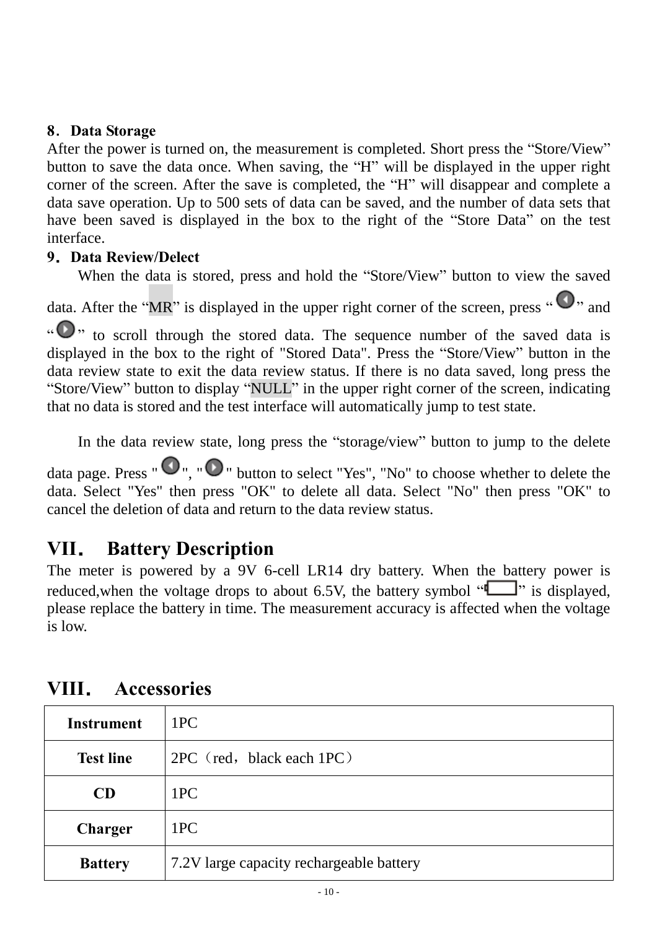### **8**.**Data Storage**

After the power is turned on, the measurement is completed. Short press the "Store/View" button to save the data once. When saving, the "H" will be displayed in the upper right corner of the screen. After the save is completed, the "H" will disappear and complete a data save operation. Up to 500 sets of data can be saved, and the number of data sets that have been saved is displayed in the box to the right of the "Store Data" on the test interface.

### **9.Data Review/Delect**

When the data is stored, press and hold the "Store/View" button to view the saved

data. After the "MR" is displayed in the upper right corner of the screen, press " $\bigcirc$ ", and

 $\sum_{i=1}^{\infty}$  to scroll through the stored data. The sequence number of the saved data is displayed in the box to the right of "Stored Data". Press the "Store/View" button in the data review state to exit the data review status. If there is no data saved, long press the "Store/View" button to display "NULL" in the upper right corner of the screen, indicating that no data is stored and the test interface will automatically jump to test state.

In the data review state, long press the "storage/view" button to jump to the delete

data page. Press " $\bullet$ ", " $\bullet$ " button to select "Yes", "No" to choose whether to delete the data. Select "Yes" then press "OK" to delete all data. Select "No" then press "OK" to cancel the deletion of data and return to the data review status.

### **VII. Battery Description**

The meter is powered by a 9V 6-cell LR14 dry battery. When the battery power is reduced, when the voltage drops to about 6.5V, the battery symbol " $\Box$ " is displayed, please replace the battery in time. The measurement accuracy is affected when the voltage is low.

| <b>Instrument</b> | 1PC                                      |
|-------------------|------------------------------------------|
| <b>Test line</b>  | $2PC$ (red, black each $1PC$ )           |
| CD                | 1PC                                      |
| Charger           | 1PC                                      |
| <b>Battery</b>    | 7.2V large capacity rechargeable battery |

# **VIII. Accessories**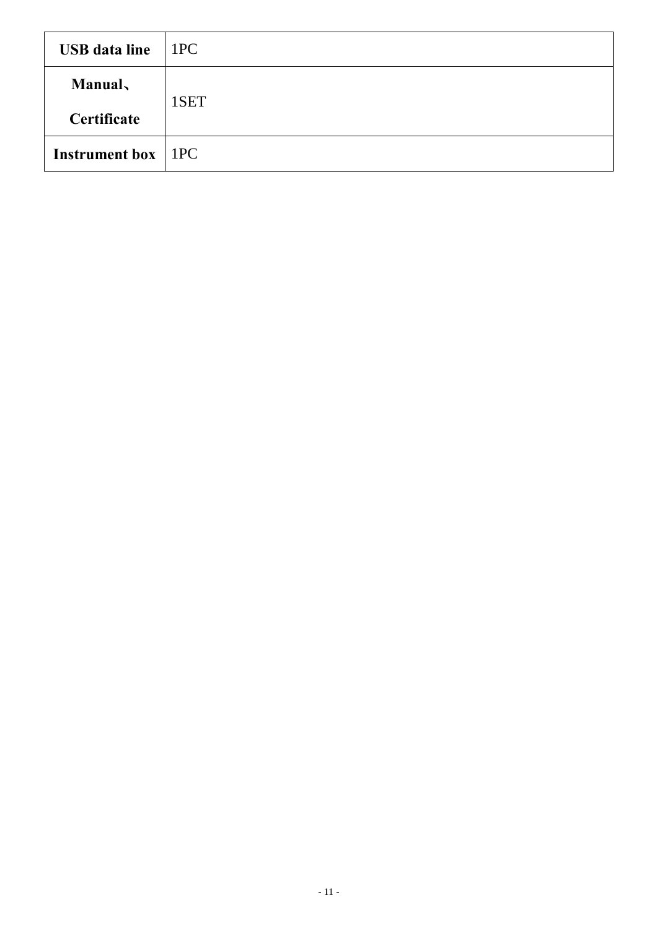| <b>USB</b> data line        | 1PC  |
|-----------------------------|------|
| <b>Manual</b>               | 1SET |
| Certificate                 |      |
| <b>Instrument box</b>   1PC |      |